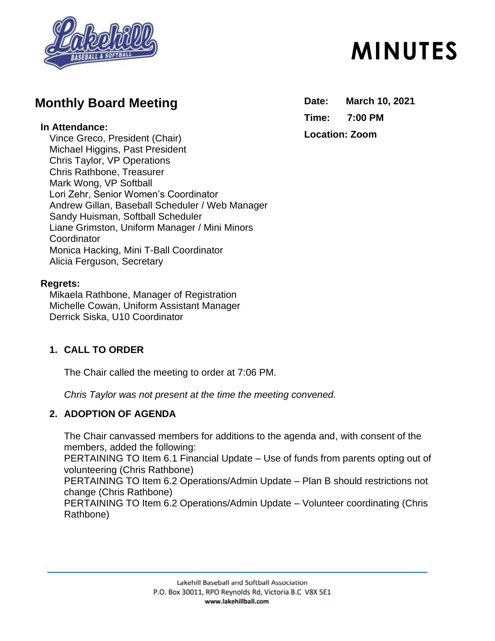

## **Monthly Board Meeting**

#### **In Attendance:**

Vince Greco, President (Chair) Michael Higgins, Past President Chris Taylor, VP Operations Chris Rathbone, Treasurer Mark Wong, VP Softball Lori Zehr, Senior Women's Coordinator Andrew Gillan, Baseball Scheduler / Web Manager Sandy Huisman, Softball Scheduler Liane Grimston, Uniform Manager / Mini Minors **Coordinator** Monica Hacking, Mini T-Ball Coordinator Alicia Ferguson, Secretary

#### **Regrets:**

Mikaela Rathbone, Manager of Registration Michelle Cowan, Uniform Assistant Manager Derrick Siska, U10 Coordinator

## **1. CALL TO ORDER**

The Chair called the meeting to order at 7:06 PM.

*Chris Taylor was not present at the time the meeting convened.* 

## **2. ADOPTION OF AGENDA**

The Chair canvassed members for additions to the agenda and, with consent of the members, added the following: PERTAINING TO Item 6.1 Financial Update – Use of funds from parents opting out of volunteering (Chris Rathbone) PERTAINING TO Item 6.2 Operations/Admin Update – Plan B should restrictions not change (Chris Rathbone) PERTAINING TO Item 6.2 Operations/Admin Update – Volunteer coordinating (Chris Rathbone)

#### Lakehill Baseball and Softball Association P.O. Box 30011, RPO Reynolds Rd, Victoria B.C V8X 5E1 www.lakehillball.com

# **MINUTES**

**Date: March 10, 2021 Time: 7:00 PM**

## **Location: Zoom**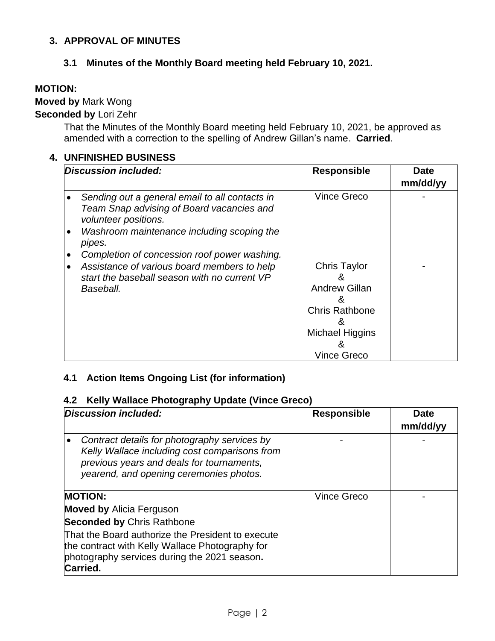### **3. APPROVAL OF MINUTES**

#### **3.1 Minutes of the Monthly Board meeting held February 10, 2021.**

#### **MOTION:**

## **Moved by** Mark Wong

## **Seconded by** Lori Zehr

That the Minutes of the Monthly Board meeting held February 10, 2021, be approved as amended with a correction to the spelling of Andrew Gillan's name. **Carried**.

#### **4. UNFINISHED BUSINESS**

| Discussion included: |                                                                                                                     | <b>Responsible</b>                                                                                | <b>Date</b> |
|----------------------|---------------------------------------------------------------------------------------------------------------------|---------------------------------------------------------------------------------------------------|-------------|
|                      |                                                                                                                     |                                                                                                   | mm/dd/yy    |
|                      | Sending out a general email to all contacts in<br>Team Snap advising of Board vacancies and<br>volunteer positions. | <b>Vince Greco</b>                                                                                |             |
|                      | Washroom maintenance including scoping the<br>pipes.                                                                |                                                                                                   |             |
|                      | Completion of concession roof power washing.                                                                        |                                                                                                   |             |
| ٠                    | Assistance of various board members to help<br>start the baseball season with no current VP<br>Baseball.            | <b>Chris Taylor</b><br>&<br><b>Andrew Gillan</b><br>ጼ<br><b>Chris Rathbone</b><br>Michael Higgins |             |
|                      |                                                                                                                     | <b>Vince Greco</b>                                                                                |             |

## **4.1 Action Items Ongoing List (for information)**

#### **4.2 Kelly Wallace Photography Update (Vince Greco)**

| <b>Discussion included:</b>                                                                                                                                                           | <b>Responsible</b> | <b>Date</b><br>mm/dd/yy |
|---------------------------------------------------------------------------------------------------------------------------------------------------------------------------------------|--------------------|-------------------------|
| Contract details for photography services by<br>Kelly Wallace including cost comparisons from<br>previous years and deals for tournaments,<br>yearend, and opening ceremonies photos. |                    |                         |
| <b>MOTION:</b>                                                                                                                                                                        | <b>Vince Greco</b> |                         |
| <b>Moved by Alicia Ferguson</b>                                                                                                                                                       |                    |                         |
| <b>Seconded by Chris Rathbone</b>                                                                                                                                                     |                    |                         |
| That the Board authorize the President to execute<br>the contract with Kelly Wallace Photography for<br>photography services during the 2021 season.<br>Carried.                      |                    |                         |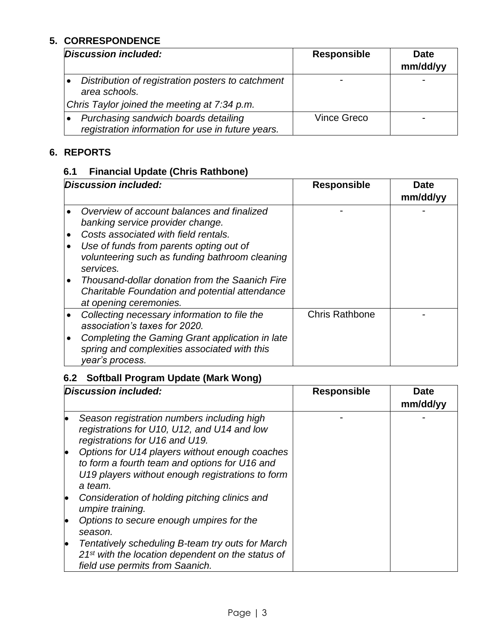## **5. CORRESPONDENCE**

| Discussion included:                                                                      | <b>Responsible</b> | <b>Date</b><br>mm/dd/yy |
|-------------------------------------------------------------------------------------------|--------------------|-------------------------|
| Distribution of registration posters to catchment<br>area schools.                        |                    |                         |
| Chris Taylor joined the meeting at 7:34 p.m.                                              |                    |                         |
| Purchasing sandwich boards detailing<br>registration information for use in future years. | Vince Greco        |                         |

## **6. REPORTS**

## **6.1 Financial Update (Chris Rathbone)**

| Discussion included:   |                                                                                                                                                                                                                                                                                                                                      | <b>Responsible</b>    | Date<br>mm/dd/yy |
|------------------------|--------------------------------------------------------------------------------------------------------------------------------------------------------------------------------------------------------------------------------------------------------------------------------------------------------------------------------------|-----------------------|------------------|
| $\bullet$<br>$\bullet$ | Overview of account balances and finalized<br>banking service provider change.<br>Costs associated with field rentals.<br>Use of funds from parents opting out of<br>volunteering such as funding bathroom cleaning<br>services.<br>Thousand-dollar donation from the Saanich Fire<br>Charitable Foundation and potential attendance |                       |                  |
|                        | at opening ceremonies.                                                                                                                                                                                                                                                                                                               |                       |                  |
|                        | Collecting necessary information to file the<br>association's taxes for 2020.                                                                                                                                                                                                                                                        | <b>Chris Rathbone</b> |                  |
|                        | Completing the Gaming Grant application in late<br>spring and complexities associated with this<br>year's process.                                                                                                                                                                                                                   |                       |                  |

## **6.2 Softball Program Update (Mark Wong)**

| Discussion included: |                                                                                                                                                                | <b>Responsible</b> | Date<br>mm/dd/yy |
|----------------------|----------------------------------------------------------------------------------------------------------------------------------------------------------------|--------------------|------------------|
| lo                   | Season registration numbers including high<br>registrations for U10, U12, and U14 and low<br>registrations for U16 and U19.                                    |                    |                  |
| le                   | Options for U14 players without enough coaches<br>to form a fourth team and options for U16 and<br>U19 players without enough registrations to form<br>a team. |                    |                  |
| lo                   | Consideration of holding pitching clinics and<br>umpire training.                                                                                              |                    |                  |
| lo                   | Options to secure enough umpires for the<br>season.                                                                                                            |                    |                  |
| lo                   | Tentatively scheduling B-team try outs for March<br>21 <sup>st</sup> with the location dependent on the status of<br>field use permits from Saanich.           |                    |                  |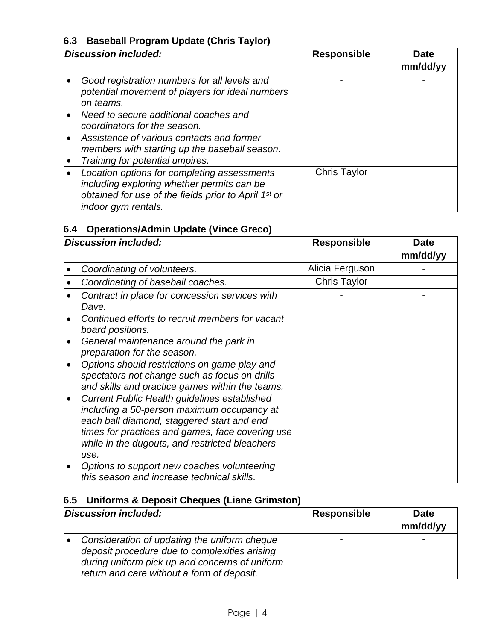## **6.3 Baseball Program Update (Chris Taylor)**

| Discussion included: |                                                                                                                                                                                                        | <b>Responsible</b>  | <b>Date</b><br>mm/dd/yy |
|----------------------|--------------------------------------------------------------------------------------------------------------------------------------------------------------------------------------------------------|---------------------|-------------------------|
|                      | Good registration numbers for all levels and<br>potential movement of players for ideal numbers<br>on teams.                                                                                           |                     |                         |
|                      | Need to secure additional coaches and<br>coordinators for the season.<br>Assistance of various contacts and former<br>members with starting up the baseball season.<br>Training for potential umpires. |                     |                         |
|                      | Location options for completing assessments<br>including exploring whether permits can be<br>obtained for use of the fields prior to April 1 <sup>st</sup> or<br>indoor gym rentals.                   | <b>Chris Taylor</b> |                         |

## **6.4 Operations/Admin Update (Vince Greco)**

| Discussion included: |                                                                                                                                                                                                                                                               | <b>Responsible</b> | <b>Date</b><br>mm/dd/yy |
|----------------------|---------------------------------------------------------------------------------------------------------------------------------------------------------------------------------------------------------------------------------------------------------------|--------------------|-------------------------|
|                      | Coordinating of volunteers.                                                                                                                                                                                                                                   | Alicia Ferguson    |                         |
|                      | Coordinating of baseball coaches.                                                                                                                                                                                                                             | Chris Taylor       |                         |
|                      | Contract in place for concession services with<br>Dave.                                                                                                                                                                                                       |                    |                         |
|                      | Continued efforts to recruit members for vacant<br>board positions.<br>General maintenance around the park in                                                                                                                                                 |                    |                         |
|                      | preparation for the season.<br>Options should restrictions on game play and                                                                                                                                                                                   |                    |                         |
|                      | spectators not change such as focus on drills<br>and skills and practice games within the teams.                                                                                                                                                              |                    |                         |
|                      | <b>Current Public Health guidelines established</b><br>including a 50-person maximum occupancy at<br>each ball diamond, staggered start and end<br>times for practices and games, face covering use<br>while in the dugouts, and restricted bleachers<br>use. |                    |                         |
|                      | Options to support new coaches volunteering<br>this season and increase technical skills.                                                                                                                                                                     |                    |                         |

## **6.5 Uniforms & Deposit Cheques (Liane Grimston)**

| Discussion included: |                                                                                                                                                                                               | <b>Responsible</b> | <b>Date</b><br>mm/dd/yy |
|----------------------|-----------------------------------------------------------------------------------------------------------------------------------------------------------------------------------------------|--------------------|-------------------------|
|                      | Consideration of updating the uniform cheque<br>deposit procedure due to complexities arising<br>during uniform pick up and concerns of uniform<br>return and care without a form of deposit. |                    |                         |